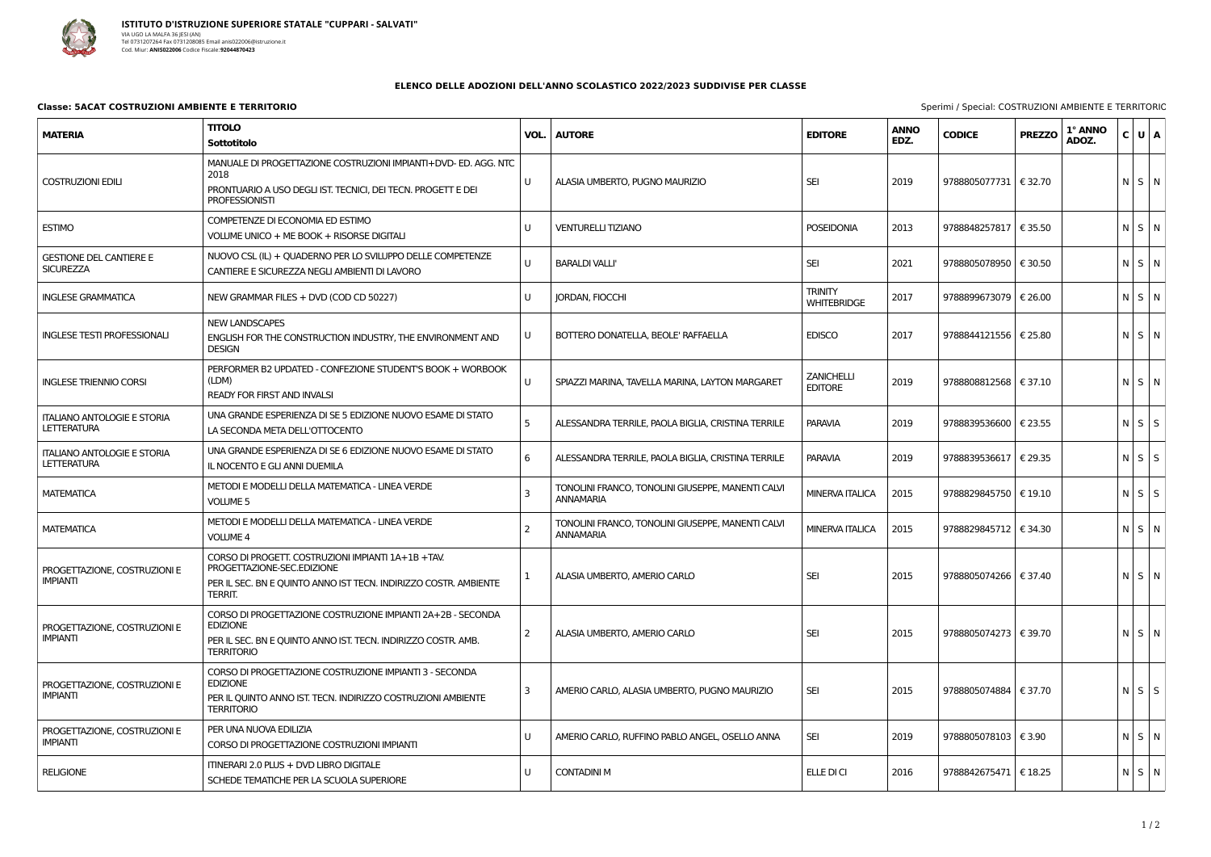

## ELENCO DELLE ADOZIONI DELL'ANNO SCOLASTICO 2022/2023 SUDDIVISE PER CLASSE

## **Classe: 5ACAT COSTRUZIONI AMBIENTE E TERRITORIO**

| <b>MATERIA</b>                                           | <b>TITOLO</b><br>Sottotitolo                                                                                                                                           | VOL.    | <b>AUTORE</b>                                                         | <b>EDITORE</b>                       | <b>ANNO</b><br>EDZ. | <b>CODICE</b>           | <b>PREZZO</b> | 1° ANNO<br>ADOZ. | C U A             |  |
|----------------------------------------------------------|------------------------------------------------------------------------------------------------------------------------------------------------------------------------|---------|-----------------------------------------------------------------------|--------------------------------------|---------------------|-------------------------|---------------|------------------|-------------------|--|
| <b>COSTRUZIONI EDILI</b>                                 | MANUALE DI PROGETTAZIONE COSTRUZIONI IMPIANTI+DVD- ED. AGG. NTC<br>2018<br>PRONTUARIO A USO DEGLI IST. TECNICI, DEI TECN. PROGETT E DEI<br><b>PROFESSIONISTI</b>       | U       | ALASIA UMBERTO, PUGNO MAURIZIO                                        | <b>SEI</b>                           | 2019                | 9788805077731   € 32.70 |               |                  | NSN               |  |
| <b>ESTIMO</b>                                            | COMPETENZE DI ECONOMIA ED ESTIMO<br>VOLUME UNICO + ME BOOK + RISORSE DIGITALI                                                                                          | U       | <b>VENTURELLI TIZIANO</b>                                             | <b>POSEIDONIA</b>                    | 2013                | 9788848257817   € 35.50 |               |                  | $N$ S $N$         |  |
| <b>GESTIONE DEL CANTIERE E</b><br><b>SICUREZZA</b>       | NUOVO CSL (IL) + QUADERNO PER LO SVILUPPO DELLE COMPETENZE<br>CANTIERE E SICUREZZA NEGLI AMBIENTI DI LAVORO                                                            | U       | <b>BARALDI VALLI'</b>                                                 | <b>SEI</b>                           | 2021                | 9788805078950   € 30.50 |               |                  | NSN               |  |
| <b>INGLESE GRAMMATICA</b>                                | NEW GRAMMAR FILES + DVD (COD CD 50227)                                                                                                                                 | U       | <b>JORDAN, FIOCCHI</b>                                                | <b>TRINITY</b><br><b>WHITEBRIDGE</b> | 2017                | 9788899673079   € 26.00 |               |                  | NSN               |  |
| <b>INGLESE TESTI PROFESSIONALI</b>                       | <b>NEW LANDSCAPES</b><br>ENGLISH FOR THE CONSTRUCTION INDUSTRY, THE ENVIRONMENT AND<br><b>DESIGN</b>                                                                   | U       | BOTTERO DONATELLA, BEOLE' RAFFAELLA                                   | <b>EDISCO</b>                        | 2017                | 9788844121556   € 25.80 |               |                  | NSN               |  |
| <b>INGLESE TRIENNIO CORSI</b>                            | PERFORMER B2 UPDATED - CONFEZIONE STUDENT'S BOOK + WORBOOK<br>(LDM)<br>READY FOR FIRST AND INVALSI                                                                     | U       | SPIAZZI MARINA, TAVELLA MARINA, LAYTON MARGARET                       | ZANICHELLI<br><b>EDITORE</b>         | 2019                | 9788808812568   € 37.10 |               |                  | NSN               |  |
| <b>ITALIANO ANTOLOGIE E STORIA</b><br><b>LETTERATURA</b> | UNA GRANDE ESPERIENZA DI SE 5 EDIZIONE NUOVO ESAME DI STATO<br>LA SECONDA META DELL'OTTOCENTO                                                                          | 5       | ALESSANDRA TERRILE, PAOLA BIGLIA, CRISTINA TERRILE                    | <b>PARAVIA</b>                       | 2019                | 9788839536600   € 23.55 |               |                  | $N \mid S \mid S$ |  |
| <b>ITALIANO ANTOLOGIE E STORIA</b><br><b>LETTERATURA</b> | UNA GRANDE ESPERIENZA DI SE 6 EDIZIONE NUOVO ESAME DI STATO<br>IL NOCENTO E GLI ANNI DUEMILA                                                                           | 6       | ALESSANDRA TERRILE, PAOLA BIGLIA, CRISTINA TERRILE                    | PARAVIA                              | 2019                | 9788839536617   € 29.35 |               |                  | $N \mid S \mid S$ |  |
| <b>MATEMATICA</b>                                        | METODI E MODELLI DELLA MATEMATICA - LINEA VERDE<br><b>VOLUME 5</b>                                                                                                     | 3       | TONOLINI FRANCO, TONOLINI GIUSEPPE, MANENTI CALVI<br><b>ANNAMARIA</b> | <b>MINERVA ITALICA</b>               | 2015                | 9788829845750   € 19.10 |               |                  | $N$ $S$ $S$       |  |
| <b>MATEMATICA</b>                                        | METODI E MODELLI DELLA MATEMATICA - LINEA VERDE<br><b>VOLUME 4</b>                                                                                                     |         | TONOLINI FRANCO, TONOLINI GIUSEPPE, MANENTI CALVI<br><b>ANNAMARIA</b> | <b>MINERVA ITALICA</b>               | 2015                | 9788829845712   € 34.30 |               |                  | $N$ $S$ $N$       |  |
| PROGETTAZIONE, COSTRUZIONI E<br><b>IMPIANTI</b>          | CORSO DI PROGETT. COSTRUZIONI IMPIANTI 1A+1B +TAV.<br>PROGETTAZIONE-SEC.EDIZIONE<br>PER IL SEC. BN E QUINTO ANNO IST TECN. INDIRIZZO COSTR. AMBIENTE<br><b>TERRIT.</b> | $\perp$ | ALASIA UMBERTO, AMERIO CARLO                                          | <b>SEI</b>                           | 2015                | 9788805074266   € 37.40 |               |                  | NSN               |  |
| PROGETTAZIONE, COSTRUZIONI E<br>IMPIANTI                 | CORSO DI PROGETTAZIONE COSTRUZIONE IMPIANTI 2A+2B - SECONDA<br><b>EDIZIONE</b><br>PER IL SEC. BN E QUINTO ANNO IST. TECN. INDIRIZZO COSTR. AMB.<br><b>TERRITORIO</b>   | 2       | ALASIA UMBERTO, AMERIO CARLO                                          | <b>SEI</b>                           | 2015                | 9788805074273   € 39.70 |               |                  | $N$ $S$ $N$       |  |
| PROGETTAZIONE, COSTRUZIONI E<br><b>IMPIANTI</b>          | CORSO DI PROGETTAZIONE COSTRUZIONE IMPIANTI 3 - SECONDA<br><b>EDIZIONE</b><br>PER IL QUINTO ANNO IST. TECN. INDIRIZZO COSTRUZIONI AMBIENTE<br><b>TERRITORIO</b>        | 3       | AMERIO CARLO, ALASIA UMBERTO, PUGNO MAURIZIO                          | <b>SEI</b>                           | 2015                | 9788805074884   € 37.70 |               |                  | $N$ $S$ $S$       |  |
| PROGETTAZIONE, COSTRUZIONI E<br><b>IMPIANTI</b>          | PER UNA NUOVA EDILIZIA<br>CORSO DI PROGETTAZIONE COSTRUZIONI IMPIANTI                                                                                                  | U       | AMERIO CARLO, RUFFINO PABLO ANGEL, OSELLO ANNA                        | <b>SEI</b>                           | 2019                | 9788805078103   € 3.90  |               |                  | $N$ $S$ $N$       |  |
| <b>RELIGIONE</b>                                         | ITINERARI 2.0 PLUS + DVD LIBRO DIGITALE<br>SCHEDE TEMATICHE PER LA SCUOLA SUPERIORE                                                                                    | U       | <b>CONTADINI M</b>                                                    | ELLE DI CI                           | 2016                | 9788842675471   € 18.25 |               |                  | $N$ $S$ $N$       |  |

| Sperimi / Special: COSTRUZIONI AMBIENTE E TERRITORIC |  |
|------------------------------------------------------|--|
|                                                      |  |